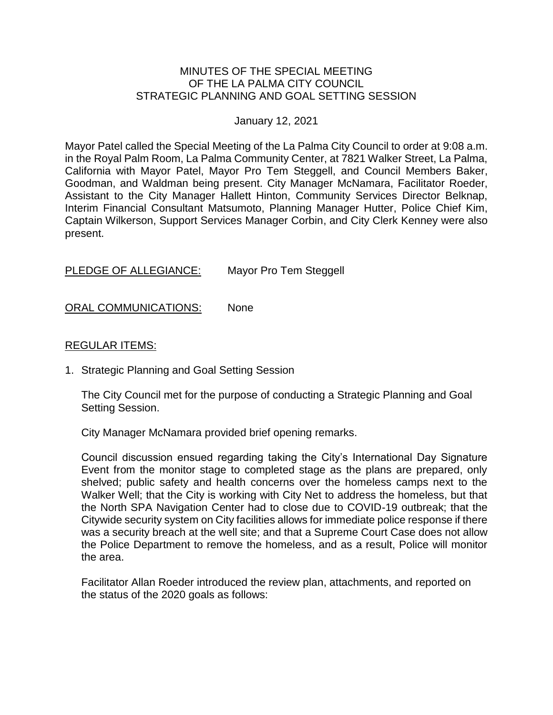#### MINUTES OF THE SPECIAL MEETING OF THE LA PALMA CITY COUNCIL STRATEGIC PLANNING AND GOAL SETTING SESSION

#### January 12, 2021

Mayor Patel called the Special Meeting of the La Palma City Council to order at 9:08 a.m. in the Royal Palm Room, La Palma Community Center, at 7821 Walker Street, La Palma, California with Mayor Patel, Mayor Pro Tem Steggell, and Council Members Baker, Goodman, and Waldman being present. City Manager McNamara, Facilitator Roeder, Assistant to the City Manager Hallett Hinton, Community Services Director Belknap, Interim Financial Consultant Matsumoto, Planning Manager Hutter, Police Chief Kim, Captain Wilkerson, Support Services Manager Corbin, and City Clerk Kenney were also present.

PLEDGE OF ALLEGIANCE: Mayor Pro Tem Steggell

ORAL COMMUNICATIONS: None

#### REGULAR ITEMS:

1. Strategic Planning and Goal Setting Session

The City Council met for the purpose of conducting a Strategic Planning and Goal Setting Session.

City Manager McNamara provided brief opening remarks.

Council discussion ensued regarding taking the City's International Day Signature Event from the monitor stage to completed stage as the plans are prepared, only shelved; public safety and health concerns over the homeless camps next to the Walker Well; that the City is working with City Net to address the homeless, but that the North SPA Navigation Center had to close due to COVID-19 outbreak; that the Citywide security system on City facilities allows for immediate police response if there was a security breach at the well site; and that a Supreme Court Case does not allow the Police Department to remove the homeless, and as a result, Police will monitor the area.

Facilitator Allan Roeder introduced the review plan, attachments, and reported on the status of the 2020 goals as follows: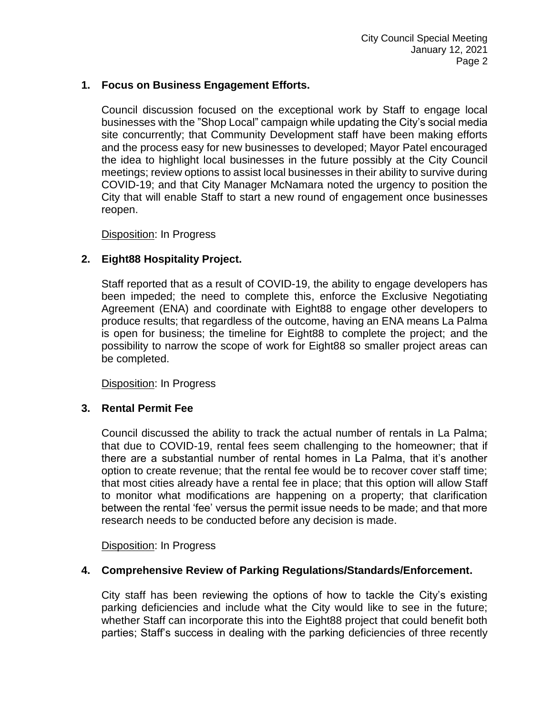### **1. Focus on Business Engagement Efforts.**

Council discussion focused on the exceptional work by Staff to engage local businesses with the "Shop Local" campaign while updating the City's social media site concurrently; that Community Development staff have been making efforts and the process easy for new businesses to developed; Mayor Patel encouraged the idea to highlight local businesses in the future possibly at the City Council meetings; review options to assist local businesses in their ability to survive during COVID-19; and that City Manager McNamara noted the urgency to position the City that will enable Staff to start a new round of engagement once businesses reopen.

Disposition: In Progress

### **2. Eight88 Hospitality Project.**

Staff reported that as a result of COVID-19, the ability to engage developers has been impeded; the need to complete this, enforce the Exclusive Negotiating Agreement (ENA) and coordinate with Eight88 to engage other developers to produce results; that regardless of the outcome, having an ENA means La Palma is open for business; the timeline for Eight88 to complete the project; and the possibility to narrow the scope of work for Eight88 so smaller project areas can be completed.

Disposition: In Progress

#### **3. Rental Permit Fee**

Council discussed the ability to track the actual number of rentals in La Palma; that due to COVID-19, rental fees seem challenging to the homeowner; that if there are a substantial number of rental homes in La Palma, that it's another option to create revenue; that the rental fee would be to recover cover staff time; that most cities already have a rental fee in place; that this option will allow Staff to monitor what modifications are happening on a property; that clarification between the rental 'fee' versus the permit issue needs to be made; and that more research needs to be conducted before any decision is made.

Disposition: In Progress

#### **4. Comprehensive Review of Parking Regulations/Standards/Enforcement.**

City staff has been reviewing the options of how to tackle the City's existing parking deficiencies and include what the City would like to see in the future; whether Staff can incorporate this into the Eight88 project that could benefit both parties; Staff's success in dealing with the parking deficiencies of three recently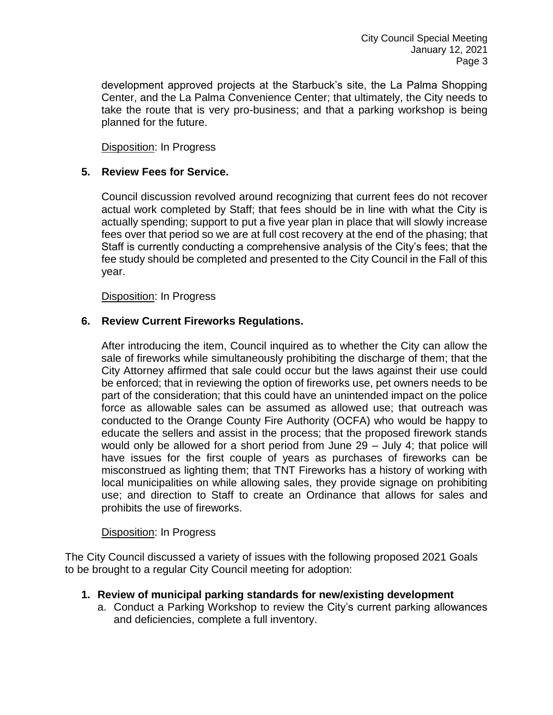development approved projects at the Starbuck's site, the La Palma Shopping Center, and the La Palma Convenience Center; that ultimately, the City needs to take the route that is very pro-business; and that a parking workshop is being planned for the future.

Disposition: In Progress

### **5. Review Fees for Service.**

Council discussion revolved around recognizing that current fees do not recover actual work completed by Staff; that fees should be in line with what the City is actually spending; support to put a five year plan in place that will slowly increase fees over that period so we are at full cost recovery at the end of the phasing; that Staff is currently conducting a comprehensive analysis of the City's fees; that the fee study should be completed and presented to the City Council in the Fall of this year.

Disposition: In Progress

### **6. Review Current Fireworks Regulations.**

After introducing the item, Council inquired as to whether the City can allow the sale of fireworks while simultaneously prohibiting the discharge of them; that the City Attorney affirmed that sale could occur but the laws against their use could be enforced; that in reviewing the option of fireworks use, pet owners needs to be part of the consideration; that this could have an unintended impact on the police force as allowable sales can be assumed as allowed use; that outreach was conducted to the Orange County Fire Authority (OCFA) who would be happy to educate the sellers and assist in the process; that the proposed firework stands would only be allowed for a short period from June 29 – July 4; that police will have issues for the first couple of years as purchases of fireworks can be misconstrued as lighting them; that TNT Fireworks has a history of working with local municipalities on while allowing sales, they provide signage on prohibiting use; and direction to Staff to create an Ordinance that allows for sales and prohibits the use of fireworks.

#### Disposition: In Progress

The City Council discussed a variety of issues with the following proposed 2021 Goals to be brought to a regular City Council meeting for adoption:

#### **1. Review of municipal parking standards for new/existing development**

a. Conduct a Parking Workshop to review the City's current parking allowances and deficiencies, complete a full inventory.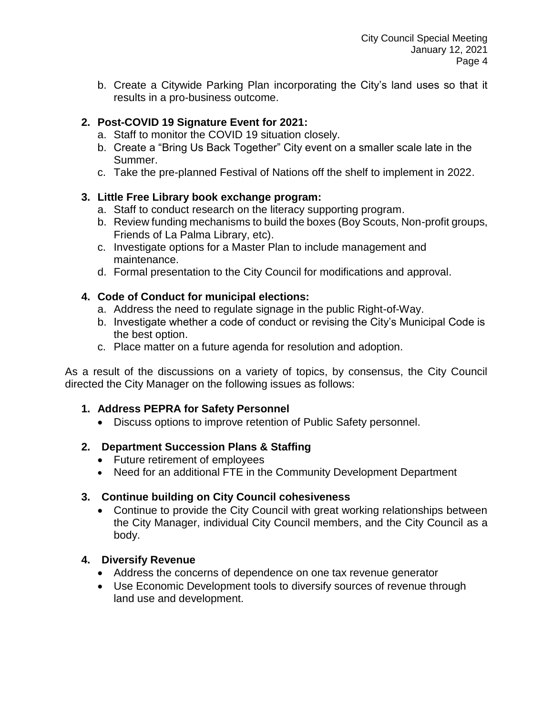b. Create a Citywide Parking Plan incorporating the City's land uses so that it results in a pro-business outcome.

# **2. Post-COVID 19 Signature Event for 2021:**

- a. Staff to monitor the COVID 19 situation closely.
- b. Create a "Bring Us Back Together" City event on a smaller scale late in the Summer.
- c. Take the pre-planned Festival of Nations off the shelf to implement in 2022.

# **3. Little Free Library book exchange program:**

- a. Staff to conduct research on the literacy supporting program.
- b. Review funding mechanisms to build the boxes (Boy Scouts, Non-profit groups, Friends of La Palma Library, etc).
- c. Investigate options for a Master Plan to include management and maintenance.
- d. Formal presentation to the City Council for modifications and approval.

# **4. Code of Conduct for municipal elections:**

- a. Address the need to regulate signage in the public Right-of-Way.
- b. Investigate whether a code of conduct or revising the City's Municipal Code is the best option.
- c. Place matter on a future agenda for resolution and adoption.

As a result of the discussions on a variety of topics, by consensus, the City Council directed the City Manager on the following issues as follows:

# **1. Address PEPRA for Safety Personnel**

Discuss options to improve retention of Public Safety personnel.

# **2. Department Succession Plans & Staffing**

- Future retirement of employees
- Need for an additional FTE in the Community Development Department

# **3. Continue building on City Council cohesiveness**

 Continue to provide the City Council with great working relationships between the City Manager, individual City Council members, and the City Council as a body.

# **4. Diversify Revenue**

- Address the concerns of dependence on one tax revenue generator
- Use Economic Development tools to diversify sources of revenue through land use and development.